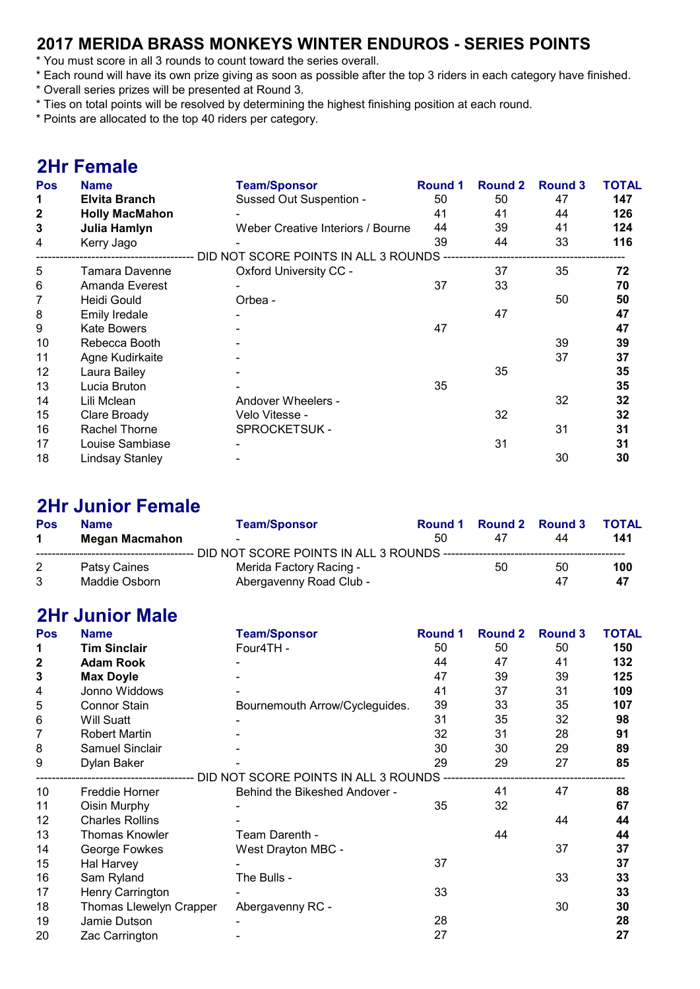### 2017 MERIDA BRASS MONKEYS WINTER ENDUROS - SERIES POINTS

- \* You must score in all 3 rounds to count toward the series overall.
- \* Each round will have its own prize giving as soon as possible after the top 3 riders in each category have finished.
- \* Overall series prizes will be presented at Round 3.
- \* Ties on total points will be resolved by determining the highest finishing position at each round.
- \* Points are allocated to the top 40 riders per category.

### 2Hr Female

| <b>Pos</b>   | <b>Name</b>            | <b>Team/Sponsor</b>                  | Round 1 | <b>Round 2</b> | <b>Round 3</b> | <b>TOTAL</b> |
|--------------|------------------------|--------------------------------------|---------|----------------|----------------|--------------|
| 1            | <b>Elvita Branch</b>   | Sussed Out Suspention -              | 50      | 50             | 47             | 147          |
| $\mathbf 2$  | <b>Holly MacMahon</b>  |                                      | 41      | 41             | 44             | 126          |
| $\mathbf{3}$ | Julia Hamlyn           | Weber Creative Interiors / Bourne    | 44      | 39             | 41             | 124          |
| 4            | Kerry Jago             |                                      | 39      | 44             | 33             | 116          |
|              |                        | DID NOT SCORE POINTS IN ALL 3 ROUNDS |         |                |                |              |
| 5            | Tamara Davenne         | Oxford University CC -               |         | 37             | 35             | 72           |
| 6            | Amanda Everest         |                                      | 37      | 33             |                | 70           |
| 7            | Heidi Gould            | Orbea -                              |         |                | 50             | 50           |
| 8            | <b>Emily Iredale</b>   |                                      |         | 47             |                | 47           |
| 9            | <b>Kate Bowers</b>     |                                      | 47      |                |                | 47           |
| 10           | Rebecca Booth          |                                      |         |                | 39             | 39           |
| 11           | Agne Kudirkaite        |                                      |         |                | 37             | 37           |
| 12           | Laura Bailey           |                                      |         | 35             |                | 35           |
| 13           | Lucia Bruton           |                                      | 35      |                |                | 35           |
| 14           | Lili Mclean            | Andover Wheelers -                   |         |                | 32             | 32           |
| 15           | Clare Broady           | Velo Vitesse -                       |         | 32             |                | 32           |
| 16           | Rachel Thorne          | <b>SPROCKETSUK -</b>                 |         |                | 31             | 31           |
| 17           | Louise Sambiase        |                                      |         | 31             |                | 31           |
| 18           | <b>Lindsay Stanley</b> |                                      |         |                | 30             | 30           |

### 2Hr Junior Female

| Pos | <b>Name</b>    | <b>Team/Sponsor</b>     | Round 1 |    | Round 2 Round 3 | <b>TOTAL</b> |
|-----|----------------|-------------------------|---------|----|-----------------|--------------|
|     | Megan Macmahon | -                       | 50      | 47 | 44              | 141          |
|     |                |                         |         |    |                 |              |
| 2   | Patsy Caines   | Merida Factory Racing - |         | 50 | 50              | 100          |
| 3   | Maddie Osborn  | Abergavenny Road Club - |         |    | 47              | 47           |

### 2Hr Junior Male

| <b>Pos</b>   | <b>Name</b>             | <b>Team/Sponsor</b>                     | <b>Round 1</b> | Round 2 | <b>Round 3</b> | <b>TOTAL</b> |
|--------------|-------------------------|-----------------------------------------|----------------|---------|----------------|--------------|
| 1            | <b>Tim Sinclair</b>     | Four4TH -                               | 50             | 50      | 50             | 150          |
| $\mathbf{2}$ | <b>Adam Rook</b>        |                                         | 44             | 47      | 41             | 132          |
| 3            | <b>Max Doyle</b>        |                                         | 47             | 39      | 39             | 125          |
| 4            | Jonno Widdows           |                                         | 41             | 37      | 31             | 109          |
| 5            | <b>Connor Stain</b>     | Bournemouth Arrow/Cycleguides.          | 39             | 33      | 35             | 107          |
| 6            | <b>Will Suatt</b>       |                                         | 31             | 35      | 32             | 98           |
| 7            | <b>Robert Martin</b>    |                                         | 32             | 31      | 28             | 91           |
| 8            | <b>Samuel Sinclair</b>  |                                         | 30             | 30      | 29             | 89           |
| 9            | Dylan Baker             |                                         | 29             | 29      | 27             | 85           |
|              |                         | DID NOT SCORE POINTS IN ALL 3 ROUNDS -- |                |         |                |              |
| 10           | Freddie Horner          | Behind the Bikeshed Andover -           |                | 41      | 47             | 88           |
| 11           | Oisin Murphy            |                                         | 35             | 32      |                | 67           |
| 12           | <b>Charles Rollins</b>  |                                         |                |         | 44             | 44           |
| 13           | Thomas Knowler          | Team Darenth -                          |                | 44      |                | 44           |
| 14           | George Fowkes           | West Drayton MBC -                      |                |         | 37             | 37           |
| 15           | Hal Harvey              |                                         | 37             |         |                | 37           |
| 16           | Sam Ryland              | The Bulls -                             |                |         | 33             | 33           |
| 17           | Henry Carrington        |                                         | 33             |         |                | 33           |
| 18           | Thomas Llewelyn Crapper | Abergavenny RC -                        |                |         | 30             | 30           |
| 19           | Jamie Dutson            |                                         | 28             |         |                | 28           |
| 20           | Zac Carrington          |                                         | 27             |         |                | 27           |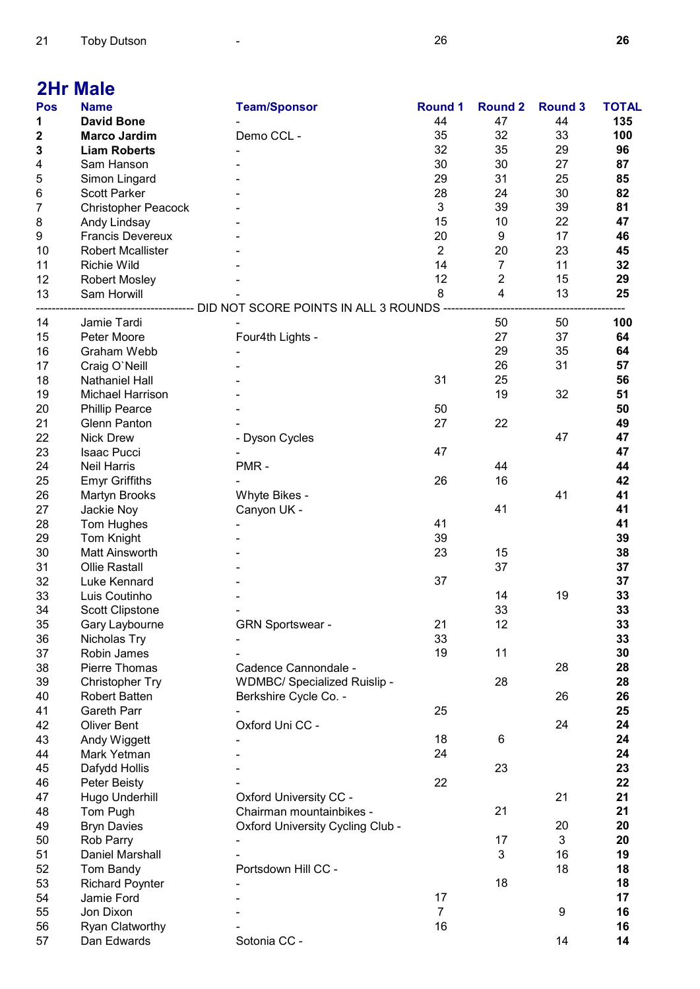## 2Hr Male

| <b>Pos</b> | <b>Name</b>                | <b>Team/Sponsor</b>                              | <b>Round 1</b> | <b>Round 2</b>          | <b>Round 3</b> | <b>TOTAL</b> |
|------------|----------------------------|--------------------------------------------------|----------------|-------------------------|----------------|--------------|
| 1          | <b>David Bone</b>          |                                                  | 44             | 47                      | 44             | 135          |
| 2          | <b>Marco Jardim</b>        | Demo CCL -                                       | 35             | 32                      | 33             | 100          |
| 3          | <b>Liam Roberts</b>        |                                                  | 32             | 35                      | 29             | 96           |
| 4          | Sam Hanson                 |                                                  | 30             | 30                      | 27             | 87           |
| 5          | Simon Lingard              |                                                  | 29             | 31                      | 25             | 85           |
| 6          | <b>Scott Parker</b>        |                                                  | 28             | 24                      | 30             | 82           |
| 7          | <b>Christopher Peacock</b> |                                                  | 3              | 39                      | 39             | 81           |
|            |                            |                                                  | 15             | 10                      | 22             | 47           |
| 8          | Andy Lindsay               |                                                  |                |                         |                |              |
| 9          | <b>Francis Devereux</b>    |                                                  | 20             | 9                       | 17             | 46           |
| 10         | <b>Robert Mcallister</b>   |                                                  | $\overline{2}$ | 20                      | 23             | 45           |
| 11         | <b>Richie Wild</b>         |                                                  | 14             | $\overline{7}$          | 11             | 32           |
| 12         | <b>Robert Mosley</b>       |                                                  | 12             | $\overline{2}$          | 15             | 29           |
| 13         | Sam Horwill                |                                                  | 8              | $\overline{\mathbf{4}}$ | 13             | 25           |
|            |                            | ----------- DID NOT SCORE POINTS IN ALL 3 ROUNDS |                |                         |                |              |
| 14         | Jamie Tardi                |                                                  |                | 50                      | 50             | 100          |
| 15         | Peter Moore                | Four4th Lights -                                 |                | 27                      | 37             | 64           |
| 16         | Graham Webb                |                                                  |                | 29                      | 35             | 64           |
| 17         | Craig O'Neill              |                                                  |                | 26                      | 31             | 57           |
| 18         | <b>Nathaniel Hall</b>      |                                                  | 31             | 25                      |                | 56           |
| 19         | Michael Harrison           |                                                  |                | 19                      | 32             | 51           |
|            |                            |                                                  |                |                         |                |              |
| 20         | <b>Phillip Pearce</b>      |                                                  | 50             |                         |                | 50           |
| 21         | <b>Glenn Panton</b>        |                                                  | 27             | 22                      |                | 49           |
| 22         | <b>Nick Drew</b>           | - Dyson Cycles                                   |                |                         | 47             | 47           |
| 23         | Isaac Pucci                |                                                  | 47             |                         |                | 47           |
| 24         | <b>Neil Harris</b>         | PMR-                                             |                | 44                      |                | 44           |
| 25         | <b>Emyr Griffiths</b>      |                                                  | 26             | 16                      |                | 42           |
| 26         | Martyn Brooks              | Whyte Bikes -                                    |                |                         | 41             | 41           |
| 27         | Jackie Noy                 | Canyon UK -                                      |                | 41                      |                | 41           |
| 28         | Tom Hughes                 |                                                  | 41             |                         |                | 41           |
| 29         | <b>Tom Knight</b>          |                                                  | 39             |                         |                | 39           |
| 30         | Matt Ainsworth             |                                                  | 23             | 15                      |                | 38           |
| 31         | <b>Ollie Rastall</b>       |                                                  |                | 37                      |                | 37           |
| 32         | Luke Kennard               |                                                  | 37             |                         |                | 37           |
|            |                            |                                                  |                |                         |                |              |
| 33         | Luis Coutinho              |                                                  |                | 14                      | 19             | 33           |
| 34         | Scott Clipstone            |                                                  |                | 33                      |                | 33           |
| 35         | Gary Laybourne             | <b>GRN Sportswear -</b>                          | 21             | 12                      |                | 33           |
| 36         | Nicholas Try               |                                                  | 33             |                         |                | 33           |
| 37         | Robin James                |                                                  | 19             | 11                      |                | 30           |
| 38         | Pierre Thomas              | Cadence Cannondale -                             |                |                         | 28             | 28           |
| 39         | <b>Christopher Try</b>     | <b>WDMBC/ Specialized Ruislip -</b>              |                | 28                      |                | 28           |
| 40         | Robert Batten              | Berkshire Cycle Co. -                            |                |                         | 26             | 26           |
| 41         | <b>Gareth Parr</b>         |                                                  | 25             |                         |                | 25           |
| 42         | <b>Oliver Bent</b>         | Oxford Uni CC -                                  |                |                         | 24             | 24           |
| 43         | Andy Wiggett               |                                                  | 18             | 6                       |                | 24           |
| 44         | Mark Yetman                |                                                  | 24             |                         |                | 24           |
|            |                            |                                                  |                |                         |                |              |
| 45         | Dafydd Hollis              |                                                  |                | 23                      |                | 23           |
| 46         | Peter Beisty               |                                                  | 22             |                         |                | 22           |
| 47         | Hugo Underhill             | <b>Oxford University CC -</b>                    |                |                         | 21             | 21           |
| 48         | Tom Pugh                   | Chairman mountainbikes -                         |                | 21                      |                | 21           |
| 49         | <b>Bryn Davies</b>         | <b>Oxford University Cycling Club -</b>          |                |                         | 20             | 20           |
| 50         | Rob Parry                  |                                                  |                | 17                      | 3              | 20           |
| 51         | <b>Daniel Marshall</b>     |                                                  |                | 3                       | 16             | 19           |
| 52         | Tom Bandy                  | Portsdown Hill CC -                              |                |                         | 18             | 18           |
| 53         | <b>Richard Poynter</b>     |                                                  |                | 18                      |                | 18           |
| 54         | Jamie Ford                 |                                                  | 17             |                         |                | 17           |
| 55         | Jon Dixon                  |                                                  | $\overline{7}$ |                         | 9              | 16           |
|            |                            |                                                  |                |                         |                |              |
| 56         | Ryan Clatworthy            |                                                  | 16             |                         |                | 16           |
| 57         | Dan Edwards                | Sotonia CC -                                     |                |                         | 14             | 14           |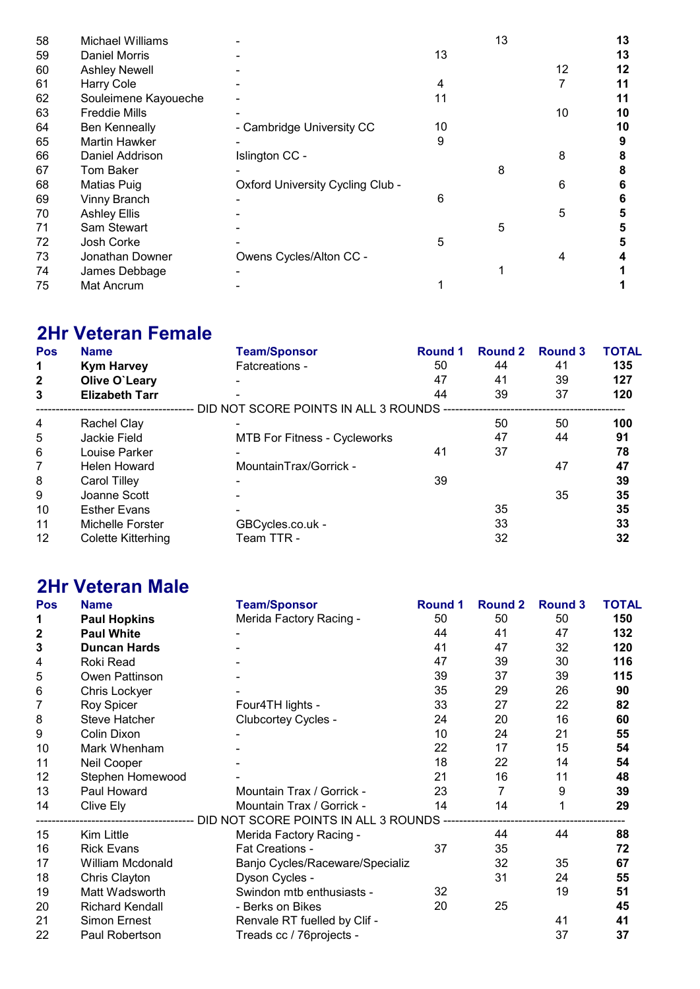| Michael Williams     |                                         |    | 13 |    | 13 |
|----------------------|-----------------------------------------|----|----|----|----|
| Daniel Morris        |                                         | 13 |    |    | 13 |
| <b>Ashley Newell</b> |                                         |    |    | 12 | 12 |
| Harry Cole           |                                         | 4  |    |    | 11 |
| Souleimene Kayoueche |                                         | 11 |    |    | 11 |
| <b>Freddie Mills</b> |                                         |    |    | 10 | 10 |
| <b>Ben Kenneally</b> | - Cambridge University CC               | 10 |    |    | 10 |
| <b>Martin Hawker</b> |                                         | 9  |    |    |    |
| Daniel Addrison      | Islington CC -                          |    |    | 8  |    |
| <b>Tom Baker</b>     |                                         |    | 8  |    |    |
| Matias Puig          | <b>Oxford University Cycling Club -</b> |    |    | 6  |    |
| Vinny Branch         |                                         | 6  |    |    |    |
| <b>Ashley Ellis</b>  |                                         |    |    | 5  |    |
| Sam Stewart          |                                         |    | 5  |    |    |
| Josh Corke           |                                         | 5  |    |    |    |
| Jonathan Downer      | Owens Cycles/Alton CC -                 |    |    | 4  |    |
| James Debbage        |                                         |    |    |    |    |
| Mat Ancrum           |                                         |    |    |    |    |
|                      |                                         |    |    |    |    |

# 2Hr Veteran Female

| Pos          | <b>Name</b>           | <b>Team/Sponsor</b>                    | <b>Round 1</b> | Round 2 | <b>Round 3</b> | <b>TOTAL</b> |
|--------------|-----------------------|----------------------------------------|----------------|---------|----------------|--------------|
| $\mathbf 1$  | <b>Kym Harvey</b>     | Fatcreations -                         | 50             | 44      | 41             | 135          |
| $\mathbf{2}$ | Olive O'Leary         |                                        | 47             | 41      | 39             | 127          |
| 3            | <b>Elizabeth Tarr</b> |                                        | 44             | 39      | 37             | 120          |
|              |                       | DID NOT SCORE POINTS IN ALL 3 ROUNDS - |                |         |                |              |
| 4            | Rachel Clay           |                                        |                | 50      | 50             | 100          |
| 5            | Jackie Field          | <b>MTB For Fitness - Cycleworks</b>    |                | 47      | 44             | 91           |
| 6            | Louise Parker         |                                        | 41             | 37      |                | 78           |
| 7            | <b>Helen Howard</b>   | MountainTrax/Gorrick -                 |                |         | 47             | 47           |
| 8            | Carol Tilley          |                                        | 39             |         |                | 39           |
| 9            | Joanne Scott          |                                        |                |         | 35             | 35           |
| 10           | <b>Esther Evans</b>   |                                        |                | 35      |                | 35           |
| 11           | Michelle Forster      | GBCycles.co.uk -                       |                | 33      |                | 33           |
| 12           | Colette Kitterhing    | Team TTR -                             |                | 32      |                | 32           |

### 2Hr Veteran Male

| Pos          | <b>Name</b>            | <b>Team/Sponsor</b>                                                                    | <b>Round 1</b> | <b>Round 2</b> | <b>Round 3</b> | <b>TOTAL</b> |
|--------------|------------------------|----------------------------------------------------------------------------------------|----------------|----------------|----------------|--------------|
| 1            | <b>Paul Hopkins</b>    | Merida Factory Racing -                                                                | 50             | 50             | 50             | 150          |
| $\mathbf{2}$ | <b>Paul White</b>      |                                                                                        | 44             | 41             | 47             | 132          |
| 3            | <b>Duncan Hards</b>    |                                                                                        | 41             | 47             | 32             | 120          |
| 4            | Roki Read              |                                                                                        | 47             | 39             | 30             | 116          |
| 5            | Owen Pattinson         |                                                                                        | 39             | 37             | 39             | 115          |
| 6            | Chris Lockyer          |                                                                                        | 35             | 29             | 26             | 90           |
| 7            | Roy Spicer             | Four4TH lights -                                                                       | 33             | 27             | 22             | 82           |
| 8            | Steve Hatcher          | Clubcortey Cycles -                                                                    | 24             | 20             | 16             | 60           |
| 9            | Colin Dixon            |                                                                                        | 10             | 24             | 21             | 55           |
| 10           | Mark Whenham           |                                                                                        | 22             | 17             | 15             | 54           |
| 11           | Neil Cooper            |                                                                                        | 18             | 22             | 14             | 54           |
| 12           | Stephen Homewood       |                                                                                        | 21             | 16             | 11             | 48           |
| 13           | Paul Howard            | Mountain Trax / Gorrick -                                                              | 23             | $\overline{7}$ | 9              | 39           |
| 14           | Clive Ely              | Mountain Trax / Gorrick -                                                              | 14             | 14             |                | 29           |
|              |                        | ----------------------------    DID NOT SCORE    POINTS IN ALL                3 ROUNDS |                |                |                |              |
| 15           | Kim Little             | Merida Factory Racing -                                                                |                | 44             | 44             | 88           |
| 16           | <b>Rick Evans</b>      | Fat Creations -                                                                        | 37             | 35             |                | 72           |
| 17           | William Mcdonald       | Banjo Cycles/Raceware/Specializ                                                        |                | 32             | 35             | 67           |
| 18           | Chris Clayton          | Dyson Cycles -                                                                         |                | 31             | 24             | 55           |
| 19           | Matt Wadsworth         | Swindon mtb enthusiasts -                                                              | 32             |                | 19             | 51           |
| 20           | <b>Richard Kendall</b> | - Berks on Bikes                                                                       | 20             | 25             |                | 45           |
| 21           | <b>Simon Ernest</b>    | Renvale RT fuelled by Clif -                                                           |                |                | 41             | 41           |
| 22           | Paul Robertson         | Treads cc / 76projects -                                                               |                |                | 37             | 37           |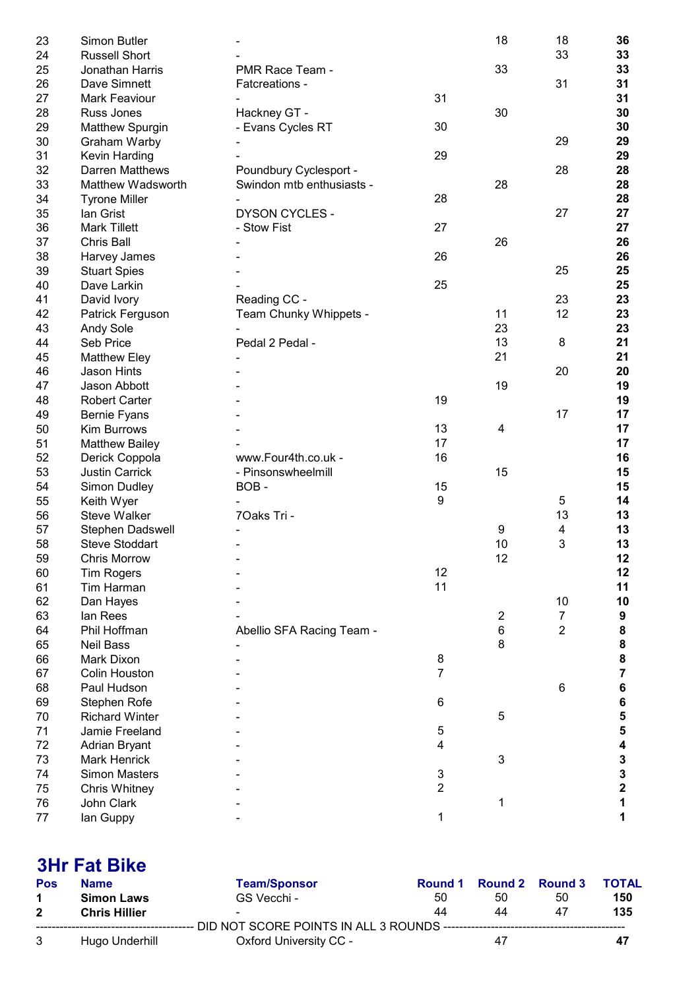| 23 | Simon Butler          |                           |                | 18               | 18             | 36                      |
|----|-----------------------|---------------------------|----------------|------------------|----------------|-------------------------|
| 24 | <b>Russell Short</b>  |                           |                |                  | 33             | 33                      |
| 25 | Jonathan Harris       | PMR Race Team -           |                | 33               |                | 33                      |
| 26 | Dave Simnett          | Fatcreations -            |                |                  | 31             | 31                      |
| 27 | <b>Mark Feaviour</b>  |                           | 31             |                  |                | 31                      |
| 28 | Russ Jones            | Hackney GT -              |                | 30               |                | 30                      |
| 29 | Matthew Spurgin       | - Evans Cycles RT         | 30             |                  |                | 30                      |
| 30 | Graham Warby          |                           |                |                  | 29             | 29                      |
| 31 | Kevin Harding         |                           | 29             |                  |                | 29                      |
| 32 | Darren Matthews       | Poundbury Cyclesport -    |                |                  | 28             | 28                      |
| 33 | Matthew Wadsworth     | Swindon mtb enthusiasts - |                | 28               |                | 28                      |
| 34 | <b>Tyrone Miller</b>  |                           | 28             |                  |                | 28                      |
| 35 | lan Grist             | <b>DYSON CYCLES -</b>     |                |                  | 27             | 27                      |
| 36 | <b>Mark Tillett</b>   | - Stow Fist               | 27             |                  |                | 27                      |
| 37 | <b>Chris Ball</b>     |                           |                | 26               |                | 26                      |
| 38 | Harvey James          |                           | 26             |                  |                | 26                      |
| 39 | <b>Stuart Spies</b>   |                           |                |                  | 25             | 25                      |
| 40 | Dave Larkin           |                           | 25             |                  |                | 25                      |
| 41 | David Ivory           | Reading CC -              |                |                  | 23             | 23                      |
| 42 | Patrick Ferguson      | Team Chunky Whippets -    |                | 11               | 12             | 23                      |
| 43 | Andy Sole             |                           |                | 23               |                | 23                      |
| 44 | Seb Price             | Pedal 2 Pedal -           |                | 13               | 8              | 21                      |
| 45 | <b>Matthew Eley</b>   |                           |                | 21               |                | 21                      |
| 46 | <b>Jason Hints</b>    |                           |                |                  | 20             | 20                      |
| 47 | Jason Abbott          |                           |                | 19               |                | 19                      |
| 48 | <b>Robert Carter</b>  |                           | 19             |                  |                | 19                      |
| 49 | <b>Bernie Fyans</b>   |                           |                |                  | 17             | 17                      |
| 50 | Kim Burrows           |                           | 13             | $\overline{4}$   |                | 17                      |
| 51 | <b>Matthew Bailey</b> |                           | 17             |                  |                | 17                      |
| 52 | Derick Coppola        | www.Four4th.co.uk -       | 16             |                  |                | 16                      |
| 53 | <b>Justin Carrick</b> | - Pinsonswheelmill        |                | 15               |                | 15                      |
| 54 | Simon Dudley          | BOB-                      | 15             |                  |                | 15                      |
| 55 | Keith Wyer            |                           | 9              |                  | 5              | 14                      |
| 56 | <b>Steve Walker</b>   | 70aks Tri -               |                |                  | 13             | 13                      |
| 57 | Stephen Dadswell      |                           |                | 9                | 4              | 13                      |
| 58 | <b>Steve Stoddart</b> |                           |                | 10               | 3              | 13                      |
| 59 | Chris Morrow          |                           |                | 12               |                | 12                      |
| 60 | <b>Tim Rogers</b>     |                           | 12             |                  |                | 12                      |
| 61 | Tim Harman            |                           | 11             |                  |                | 11                      |
| 62 | Dan Hayes             |                           |                |                  | 10             | 10                      |
| 63 | lan Rees              |                           |                | $\boldsymbol{2}$ | $\overline{7}$ | 9                       |
| 64 | Phil Hoffman          | Abellio SFA Racing Team - |                | $\,6$            | $\overline{2}$ | $\bf 8$                 |
| 65 | <b>Neil Bass</b>      |                           |                | 8                |                | ${\bf 8}$               |
| 66 | Mark Dixon            |                           | 8              |                  |                | $\pmb{8}$               |
| 67 | <b>Colin Houston</b>  |                           | $\overline{7}$ |                  |                | $\overline{7}$          |
| 68 | Paul Hudson           |                           |                |                  | 6              | $\bf 6$                 |
| 69 | Stephen Rofe          |                           | 6              |                  |                | $\bf 6$                 |
| 70 | <b>Richard Winter</b> |                           |                | 5                |                | $\overline{\mathbf{5}}$ |
| 71 | Jamie Freeland        |                           | 5              |                  |                | $\overline{\mathbf{5}}$ |
| 72 | Adrian Bryant         |                           | 4              |                  |                | $\overline{\mathbf{4}}$ |
| 73 | <b>Mark Henrick</b>   |                           |                | $\mathbf{3}$     |                |                         |
| 74 | <b>Simon Masters</b>  |                           | 3              |                  |                | $\frac{3}{3}$           |
| 75 | Chris Whitney         |                           | $\overline{2}$ |                  |                | $\overline{\mathbf{2}}$ |
| 76 | John Clark            |                           |                | 1                |                | 1                       |
| 77 | lan Guppy             |                           | $\mathbf{1}$   |                  |                | 1                       |
|    |                       |                           |                |                  |                |                         |

#### **3Hr Fat Bike**<br>Pos Name Name Team/Sponsor Round 1 Round 2 Round 3 TOTAL<br>
Simon Laws GS Vecchi - 50 50 50 150 1 Simon Laws GS Vecchi - 50 50 50 150<br>2 Chris Hillier - 135 **Chris Hillier** ---------------------------------------- DID NOT SCORE POINTS IN ALL 3 ROUNDS ---------------------------------------------- Hugo Underhill **Oxford University CC -**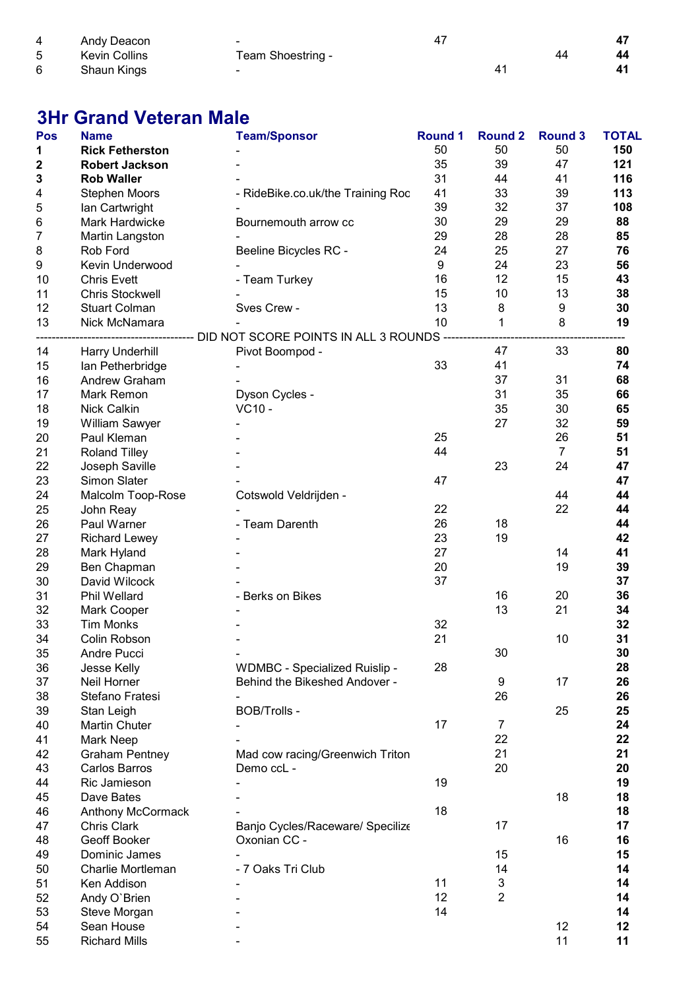| 4 | Andy Deacon   | -                 |  |    |
|---|---------------|-------------------|--|----|
| 5 | Kevin Collins | Team Shoestring - |  | 44 |
| 6 | Shaun Kings   | -                 |  | 41 |

## 3Hr Grand Veteran Male

| Pos | <b>Name</b>            | <b>Team/Sponsor</b>                                                          | <b>Round 1</b> | <b>Round 2</b>   | <b>Round 3</b> | <b>TOTAL</b> |
|-----|------------------------|------------------------------------------------------------------------------|----------------|------------------|----------------|--------------|
| 1   | <b>Rick Fetherston</b> |                                                                              | 50             | 50               | 50             | 150          |
| 2   | <b>Robert Jackson</b>  |                                                                              | 35             | 39               | 47             | 121          |
| 3   | <b>Rob Waller</b>      |                                                                              | 31             | 44               | 41             | 116          |
| 4   | <b>Stephen Moors</b>   | - RideBike.co.uk/the Training Roc                                            | 41             | 33               | 39             | 113          |
| 5   | Ian Cartwright         |                                                                              | 39             | 32               | 37             | 108          |
| 6   | Mark Hardwicke         | Bournemouth arrow cc                                                         | 30             | 29               | 29             | 88           |
| 7   | Martin Langston        |                                                                              | 29             | 28               | 28             | 85           |
| 8   | Rob Ford               | Beeline Bicycles RC -                                                        | 24             | 25               | 27             | 76           |
| 9   | Kevin Underwood        |                                                                              | 9              | 24               | 23             | 56           |
| 10  | <b>Chris Evett</b>     | - Team Turkey                                                                | 16             | 12               | 15             | 43           |
| 11  | <b>Chris Stockwell</b> |                                                                              | 15             | 10               | 13             | 38           |
| 12  | <b>Stuart Colman</b>   | Sves Crew -                                                                  | 13             | 8                | 9              | 30           |
| 13  | Nick McNamara          |                                                                              | 10             | 1                | 8              | 19           |
|     |                        | ---------------------------- DID NOT SCORE POINTS IN ALL 3 ROUNDS ---------- |                |                  |                |              |
| 14  | Harry Underhill        | Pivot Boompod -                                                              |                | 47               | 33             | 80           |
| 15  | Ian Petherbridge       |                                                                              | 33             | 41               |                | 74           |
| 16  | Andrew Graham          |                                                                              |                | 37               | 31             | 68           |
| 17  | Mark Remon             | Dyson Cycles -                                                               |                | 31               | 35             | 66           |
| 18  | Nick Calkin            | VC10 -                                                                       |                | 35               | 30             | 65           |
| 19  | William Sawyer         |                                                                              |                | 27               | 32             | 59           |
| 20  | Paul Kleman            |                                                                              | 25             |                  | 26             | 51           |
| 21  |                        |                                                                              | 44             |                  | $\overline{7}$ | 51           |
|     | <b>Roland Tilley</b>   |                                                                              |                | 23               | 24             | 47           |
| 22  | Joseph Saville         |                                                                              |                |                  |                |              |
| 23  | <b>Simon Slater</b>    |                                                                              | 47             |                  |                | 47           |
| 24  | Malcolm Toop-Rose      | Cotswold Veldrijden -                                                        |                |                  | 44             | 44           |
| 25  | John Reay              |                                                                              | 22             |                  | 22             | 44           |
| 26  | Paul Warner            | - Team Darenth                                                               | 26             | 18               |                | 44           |
| 27  | <b>Richard Lewey</b>   |                                                                              | 23             | 19               |                | 42           |
| 28  | Mark Hyland            |                                                                              | 27             |                  | 14             | 41           |
| 29  | Ben Chapman            |                                                                              | 20             |                  | 19             | 39           |
| 30  | David Wilcock          |                                                                              | 37             |                  |                | 37           |
| 31  | Phil Wellard           | - Berks on Bikes                                                             |                | 16               | 20             | 36           |
| 32  | Mark Cooper            |                                                                              |                | 13               | 21             | 34           |
| 33  | <b>Tim Monks</b>       |                                                                              | 32             |                  |                | 32           |
| 34  | Colin Robson           |                                                                              | 21             |                  | 10             | 31           |
| 35  | Andre Pucci            |                                                                              |                | 30               |                | 30           |
| 36  | Jesse Kelly            | <b>WDMBC - Specialized Ruislip -</b>                                         | 28             |                  |                | 28           |
| 37  | Neil Horner            | Behind the Bikeshed Andover -                                                |                | $\boldsymbol{9}$ | 17             | 26           |
| 38  | Stefano Fratesi        |                                                                              |                | 26               |                | 26           |
| 39  | Stan Leigh             | BOB/Trolls -                                                                 |                |                  | 25             | 25           |
| 40  | <b>Martin Chuter</b>   |                                                                              | 17             | $\overline{7}$   |                | 24           |
| 41  | Mark Neep              |                                                                              |                | 22               |                | 22           |
| 42  | <b>Graham Pentney</b>  | Mad cow racing/Greenwich Triton                                              |                | 21               |                | 21           |
| 43  | <b>Carlos Barros</b>   | Demo ccL -                                                                   |                | 20               |                | 20           |
| 44  | Ric Jamieson           |                                                                              | 19             |                  |                | 19           |
| 45  | Dave Bates             |                                                                              |                |                  | 18             | 18           |
| 46  | Anthony McCormack      |                                                                              | 18             |                  |                | 18           |
| 47  | <b>Chris Clark</b>     | Banjo Cycles/Raceware/ Specilize                                             |                | 17               |                | 17           |
| 48  | Geoff Booker           | Oxonian CC -                                                                 |                |                  | 16             | 16           |
| 49  | Dominic James          |                                                                              |                | 15               |                | 15           |
| 50  | Charlie Mortleman      | - 7 Oaks Tri Club                                                            |                | 14               |                | 14           |
| 51  | Ken Addison            |                                                                              | 11             | 3                |                | 14           |
| 52  | Andy O'Brien           |                                                                              | 12             | $\overline{2}$   |                | 14           |
| 53  | Steve Morgan           |                                                                              | 14             |                  |                | 14           |
| 54  | Sean House             |                                                                              |                |                  | 12             | 12           |
| 55  | <b>Richard Mills</b>   |                                                                              |                |                  | 11             | 11           |
|     |                        |                                                                              |                |                  |                |              |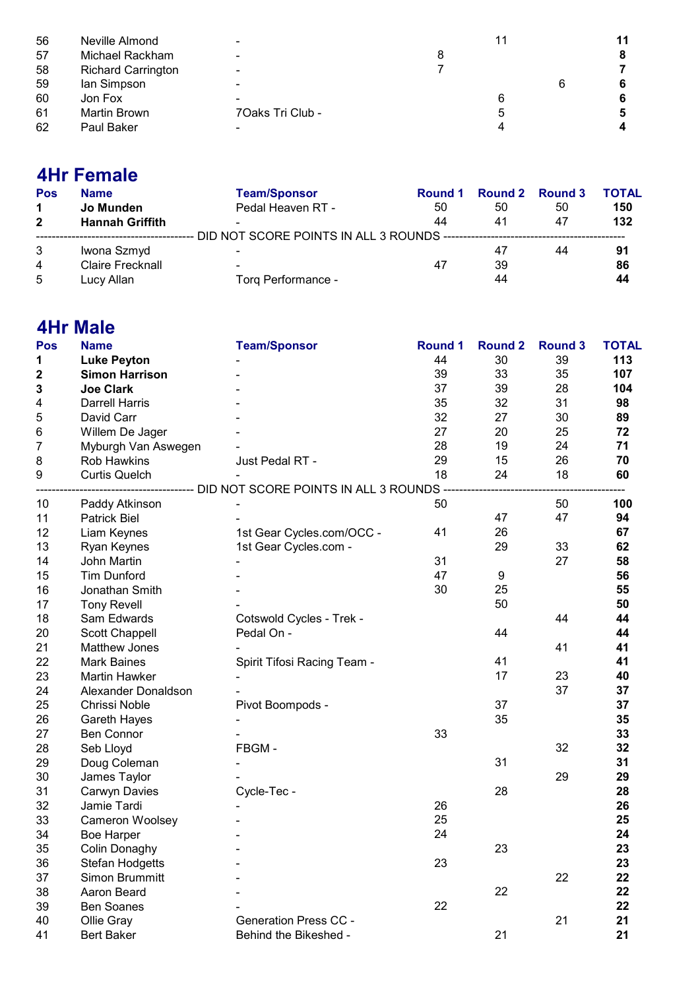| 56 | Neville Almond            | -                |   | 11 |
|----|---------------------------|------------------|---|----|
| 57 | Michael Rackham           | $\blacksquare$   |   | 8  |
| 58 | <b>Richard Carrington</b> | $\blacksquare$   |   |    |
| 59 | lan Simpson               | -                |   | 6  |
| 60 | Jon Fox                   |                  |   | 6  |
| 61 | <b>Martin Brown</b>       | 7Oaks Tri Club - | b | 5  |
| 62 | Paul Baker                |                  |   |    |

## 4Hr Female

| Pos            | <b>Name</b>             | <b>Team/Sponsor</b> | Round 1 |    | Round 2 Round 3 | <b>TOTAL</b> |
|----------------|-------------------------|---------------------|---------|----|-----------------|--------------|
| 1              | Jo Munden               | Pedal Heaven RT -   | 50      | 50 | 50              | 150          |
| $\mathbf{2}$   | <b>Hannah Griffith</b>  |                     | 44      | 41 | 47              | 132          |
|                |                         |                     |         |    |                 |              |
|                | Iwona Szmyd             |                     |         | 47 | 44              | 91           |
| $\overline{4}$ | <b>Claire Frecknall</b> |                     | 47      | 39 |                 | 86           |
| 5              | Lucy Allan              | Torq Performance -  |         | 44 |                 | 44           |

### 4Hr Male

| Pos         | <b>Name</b>            | <b>Team/Sponsor</b>                                                             | <b>Round 1</b> | <b>Round 2</b> | <b>Round 3</b> | <b>TOTAL</b> |
|-------------|------------------------|---------------------------------------------------------------------------------|----------------|----------------|----------------|--------------|
| 1           | <b>Luke Peyton</b>     |                                                                                 | 44             | 30             | 39             | 113          |
| $\mathbf 2$ | <b>Simon Harrison</b>  |                                                                                 | 39             | 33             | 35             | 107          |
| 3           | <b>Joe Clark</b>       |                                                                                 | 37             | 39             | 28             | 104          |
| 4           | <b>Darrell Harris</b>  |                                                                                 | 35             | 32             | 31             | 98           |
| 5           | David Carr             |                                                                                 | 32             | 27             | 30             | 89           |
| 6           | Willem De Jager        |                                                                                 | 27             | 20             | 25             | 72           |
| 7           | Myburgh Van Aswegen    |                                                                                 | 28             | 19             | 24             | 71           |
| 8           | Rob Hawkins            | Just Pedal RT -                                                                 | 29             | 15             | 26             | 70           |
| 9           | <b>Curtis Quelch</b>   |                                                                                 | 18             | 24             | 18             | 60           |
|             |                        | ---------------------------- DID NOT SCORE POINTS IN ALL 3 ROUNDS ------------- |                |                |                |              |
| 10          | Paddy Atkinson         |                                                                                 | 50             |                | 50             | 100          |
| 11          | <b>Patrick Biel</b>    |                                                                                 |                | 47             | 47             | 94           |
| 12          | Liam Keynes            | 1st Gear Cycles.com/OCC -                                                       | 41             | 26             |                | 67           |
| 13          | Ryan Keynes            | 1st Gear Cycles.com -                                                           |                | 29             | 33             | 62           |
| 14          | John Martin            |                                                                                 | 31             |                | 27             | 58           |
| 15          | <b>Tim Dunford</b>     |                                                                                 | 47             | 9              |                | 56           |
| 16          | Jonathan Smith         |                                                                                 | 30             | 25             |                | 55           |
| 17          | <b>Tony Revell</b>     |                                                                                 |                | 50             |                | 50           |
| 18          | Sam Edwards            | Cotswold Cycles - Trek -                                                        |                |                | 44             | 44           |
| 20          | <b>Scott Chappell</b>  | Pedal On -                                                                      |                | 44             |                | 44           |
| 21          | <b>Matthew Jones</b>   |                                                                                 |                |                | 41             | 41           |
| 22          | <b>Mark Baines</b>     | Spirit Tifosi Racing Team -                                                     |                | 41             |                | 41           |
| 23          | <b>Martin Hawker</b>   |                                                                                 |                | 17             | 23             | 40           |
| 24          | Alexander Donaldson    |                                                                                 |                |                | 37             | 37           |
| 25          | Chrissi Noble          | Pivot Boompods -                                                                |                | 37             |                | 37           |
| 26          | Gareth Hayes           |                                                                                 |                | 35             |                | 35           |
| 27          | <b>Ben Connor</b>      |                                                                                 | 33             |                |                | 33           |
| 28          | Seb Lloyd              | FBGM-                                                                           |                |                | 32             | 32           |
| 29          | Doug Coleman           |                                                                                 |                | 31             |                | 31           |
| 30          | James Taylor           |                                                                                 |                |                | 29             | 29           |
| 31          | Carwyn Davies          | Cycle-Tec -                                                                     |                | 28             |                | 28           |
| 32          | Jamie Tardi            |                                                                                 | 26             |                |                | 26           |
| 33          | Cameron Woolsey        |                                                                                 | 25             |                |                | 25           |
| 34          | <b>Boe Harper</b>      |                                                                                 | 24             |                |                | 24           |
| 35          | <b>Colin Donaghy</b>   |                                                                                 |                | 23             |                | 23           |
| 36          | <b>Stefan Hodgetts</b> |                                                                                 | 23             |                |                | 23           |
| 37          | Simon Brummitt         |                                                                                 |                |                | 22             | 22           |
| 38          | Aaron Beard            |                                                                                 |                | 22             |                | 22           |
| 39          | <b>Ben Soanes</b>      |                                                                                 | 22             |                |                | 22           |
| 40          | Ollie Gray             | <b>Generation Press CC -</b>                                                    |                |                | 21             | 21           |
| 41          | <b>Bert Baker</b>      | Behind the Bikeshed -                                                           |                | 21             |                | 21           |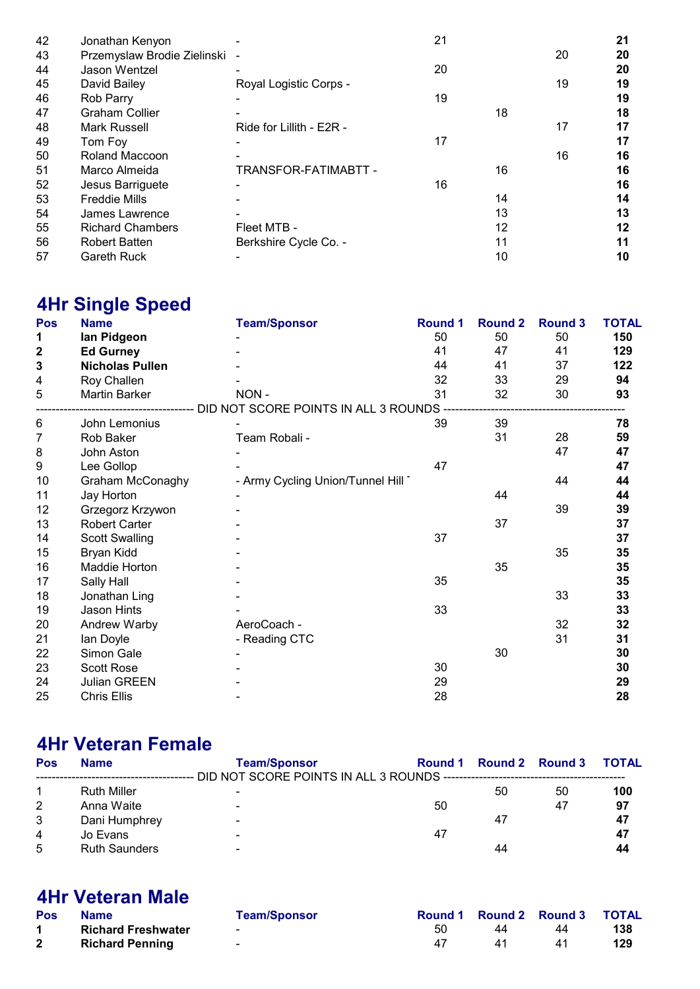| 42 | Jonathan Kenyon             |                          | 21 |    |    | 21 |
|----|-----------------------------|--------------------------|----|----|----|----|
| 43 | Przemyslaw Brodie Zielinski |                          |    |    | 20 | 20 |
| 44 | Jason Wentzel               |                          | 20 |    |    | 20 |
| 45 | David Bailey                | Royal Logistic Corps -   |    |    | 19 | 19 |
| 46 | Rob Parry                   |                          | 19 |    |    | 19 |
| 47 | <b>Graham Collier</b>       |                          |    | 18 |    | 18 |
| 48 | Mark Russell                | Ride for Lillith - E2R - |    |    | 17 | 17 |
| 49 | Tom Foy                     |                          | 17 |    |    | 17 |
| 50 | Roland Maccoon              |                          |    |    | 16 | 16 |
| 51 | Marco Almeida               | TRANSFOR-FATIMABTT -     |    | 16 |    | 16 |
| 52 | Jesus Barriguete            |                          | 16 |    |    | 16 |
| 53 | <b>Freddie Mills</b>        |                          |    | 14 |    | 14 |
| 54 | James Lawrence              |                          |    | 13 |    | 13 |
| 55 | <b>Richard Chambers</b>     | Fleet MTB -              |    | 12 |    | 12 |
| 56 | <b>Robert Batten</b>        | Berkshire Cycle Co. -    |    | 11 |    | 11 |
| 57 | <b>Gareth Ruck</b>          |                          |    | 10 |    | 10 |

# 4Hr Single Speed

| Pos              | <b>Name</b>            | <b>Team/Sponsor</b>                                                                  | <b>Round 1</b> | <b>Round 2</b> | <b>Round 3</b> | <b>TOTAL</b> |
|------------------|------------------------|--------------------------------------------------------------------------------------|----------------|----------------|----------------|--------------|
| 1                | lan Pidgeon            |                                                                                      | 50             | 50             | 50             | 150          |
| $\boldsymbol{2}$ | <b>Ed Gurney</b>       |                                                                                      | 41             | 47             | 41             | 129          |
| 3                | <b>Nicholas Pullen</b> |                                                                                      | 44             | 41             | 37             | 122          |
| 4                | Roy Challen            |                                                                                      | 32             | 33             | 29             | 94           |
| 5                | Martin Barker          | NON-                                                                                 | 31             | 32             | 30             | 93           |
|                  |                        | ----------------------------- DID NOT SCORE POINTS IN ALL 3 ROUNDS ----------------- |                |                |                |              |
| 6                | John Lemonius          |                                                                                      | 39             | 39             |                | 78           |
| 7                | Rob Baker              | Team Robali -                                                                        |                | 31             | 28             | 59           |
| 8                | John Aston             |                                                                                      |                |                | 47             | 47           |
| 9                | Lee Gollop             |                                                                                      | 47             |                |                | 47           |
| 10               | Graham McConaghy       | - Army Cycling Union/Tunnel Hill                                                     |                |                | 44             | 44           |
| 11               | Jay Horton             |                                                                                      |                | 44             |                | 44           |
| 12               | Grzegorz Krzywon       |                                                                                      |                |                | 39             | 39           |
| 13               | <b>Robert Carter</b>   |                                                                                      |                | 37             |                | 37           |
| 14               | <b>Scott Swalling</b>  |                                                                                      | 37             |                |                | 37           |
| 15               | Bryan Kidd             |                                                                                      |                |                | 35             | 35           |
| 16               | Maddie Horton          |                                                                                      |                | 35             |                | 35           |
| 17               | Sally Hall             |                                                                                      | 35             |                |                | 35           |
| 18               | Jonathan Ling          |                                                                                      |                |                | 33             | 33           |
| 19               | Jason Hints            |                                                                                      | 33             |                |                | 33           |
| 20               | Andrew Warby           | AeroCoach -                                                                          |                |                | 32             | 32           |
| 21               | lan Doyle              | - Reading CTC                                                                        |                |                | 31             | 31           |
| 22               | Simon Gale             |                                                                                      |                | 30             |                | 30           |
| 23               | Scott Rose             |                                                                                      | 30             |                |                | 30           |
| 24               | <b>Julian GREEN</b>    |                                                                                      | 29             |                |                | 29           |
| 25               | <b>Chris Ellis</b>     |                                                                                      | 28             |                |                | 28           |

## 4Hr Veteran Female

| <b>Name</b>          | <b>Team/Sponsor</b> |    |    |    |                               |
|----------------------|---------------------|----|----|----|-------------------------------|
|                      |                     |    |    |    |                               |
| <b>Ruth Miller</b>   | -                   |    | 50 | 50 | 100                           |
| Anna Waite           | -                   | 50 |    | 47 | 97                            |
| Dani Humphrey        | -                   |    | 47 |    | 47                            |
| Jo Evans             | -                   | 47 |    |    | 47                            |
| <b>Ruth Saunders</b> | -                   |    | 44 |    | 44                            |
|                      |                     |    |    |    | Round 1 Round 2 Round 3 TOTAL |

## 4Hr Veteran Male

| <b>Pos</b> | <b>Name</b>               | <b>Team/Sponsor</b>      |    |    | Round 1 Round 2 Round 3 TOTAL |     |
|------------|---------------------------|--------------------------|----|----|-------------------------------|-----|
|            | <b>Richard Freshwater</b> | $\sim$                   | 50 | 44 | 44                            | 138 |
|            | <b>Richard Penning</b>    | $\overline{\phantom{0}}$ | 47 | 41 | 41                            | 129 |